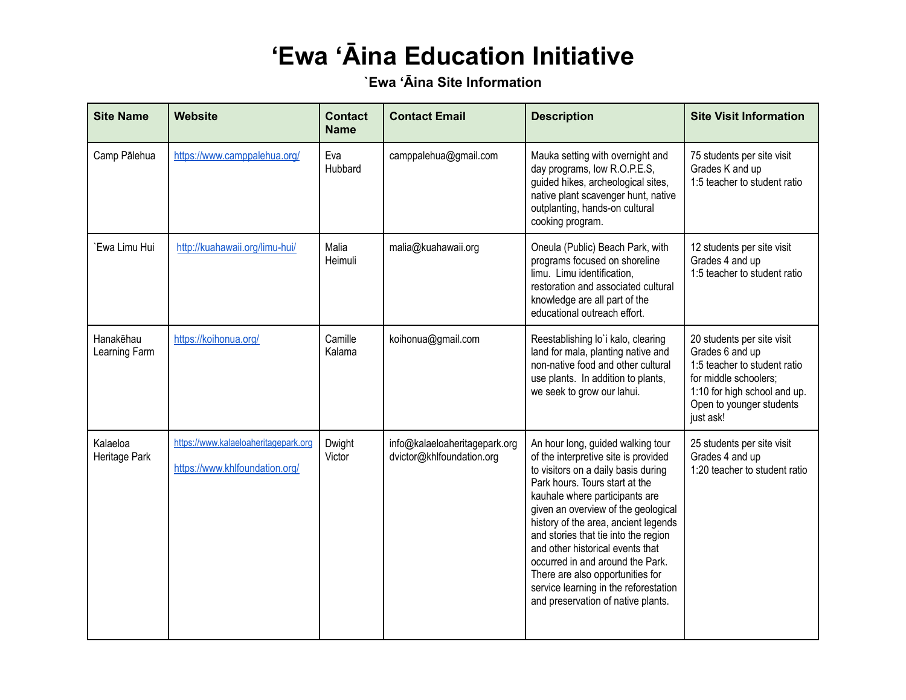## **'Ewa 'Āina Education Initiative**

**`Ewa 'Āina Site Information**

| <b>Site Name</b>           | Website                                                                | <b>Contact</b><br><b>Name</b> | <b>Contact Email</b>                                       | <b>Description</b>                                                                                                                                                                                                                                                                                                                                                                                                                                                                                     | <b>Site Visit Information</b>                                                                                                                                                   |
|----------------------------|------------------------------------------------------------------------|-------------------------------|------------------------------------------------------------|--------------------------------------------------------------------------------------------------------------------------------------------------------------------------------------------------------------------------------------------------------------------------------------------------------------------------------------------------------------------------------------------------------------------------------------------------------------------------------------------------------|---------------------------------------------------------------------------------------------------------------------------------------------------------------------------------|
| Camp Pālehua               | https://www.camppalehua.org/                                           | Eva<br>Hubbard                | camppalehua@gmail.com                                      | Mauka setting with overnight and<br>day programs, low R.O.P.E.S,<br>guided hikes, archeological sites,<br>native plant scavenger hunt, native<br>outplanting, hands-on cultural<br>cooking program.                                                                                                                                                                                                                                                                                                    | 75 students per site visit<br>Grades K and up<br>1:5 teacher to student ratio                                                                                                   |
| `Ewa Limu Hui              | http://kuahawaii.org/limu-hui/                                         | Malia<br>Heimuli              | malia@kuahawaii.org                                        | Oneula (Public) Beach Park, with<br>programs focused on shoreline<br>limu. Limu identification,<br>restoration and associated cultural<br>knowledge are all part of the<br>educational outreach effort.                                                                                                                                                                                                                                                                                                | 12 students per site visit<br>Grades 4 and up<br>1:5 teacher to student ratio                                                                                                   |
| Hanakēhau<br>Learning Farm | https://koihonua.org/                                                  | Camille<br>Kalama             | koihonua@gmail.com                                         | Reestablishing lo'i kalo, clearing<br>land for mala, planting native and<br>non-native food and other cultural<br>use plants. In addition to plants,<br>we seek to grow our lahui.                                                                                                                                                                                                                                                                                                                     | 20 students per site visit<br>Grades 6 and up<br>1:5 teacher to student ratio<br>for middle schoolers;<br>1:10 for high school and up.<br>Open to younger students<br>just ask! |
| Kalaeloa<br>Heritage Park  | https://www.kalaeloaheritagepark.org<br>https://www.khlfoundation.org/ | Dwight<br>Victor              | info@kalaeloaheritagepark.org<br>dvictor@khlfoundation.org | An hour long, guided walking tour<br>of the interpretive site is provided<br>to visitors on a daily basis during<br>Park hours. Tours start at the<br>kauhale where participants are<br>given an overview of the geological<br>history of the area, ancient legends<br>and stories that tie into the region<br>and other historical events that<br>occurred in and around the Park.<br>There are also opportunities for<br>service learning in the reforestation<br>and preservation of native plants. | 25 students per site visit<br>Grades 4 and up<br>1:20 teacher to student ratio                                                                                                  |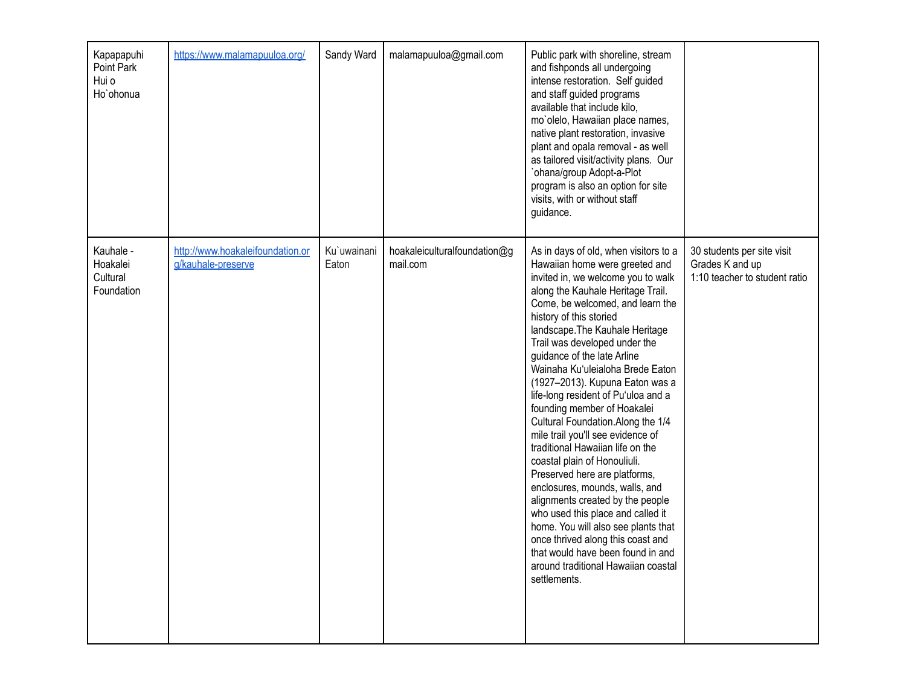| Kapapapuhi<br>Point Park<br>Hui o<br>Ho'ohonua  | https://www.malamapuuloa.org/                          | Sandy Ward           | malamapuuloa@gmail.com                   | Public park with shoreline, stream<br>and fishponds all undergoing<br>intense restoration. Self guided<br>and staff guided programs<br>available that include kilo,<br>mo'olelo, Hawaiian place names,<br>native plant restoration, invasive<br>plant and opala removal - as well<br>as tailored visit/activity plans. Our<br>`ohana/group Adopt-a-Plot<br>program is also an option for site<br>visits, with or without staff<br>guidance.                                                                                                                                                                                                                                                                                                                                                                                                                                                                                         |                                                                                |
|-------------------------------------------------|--------------------------------------------------------|----------------------|------------------------------------------|-------------------------------------------------------------------------------------------------------------------------------------------------------------------------------------------------------------------------------------------------------------------------------------------------------------------------------------------------------------------------------------------------------------------------------------------------------------------------------------------------------------------------------------------------------------------------------------------------------------------------------------------------------------------------------------------------------------------------------------------------------------------------------------------------------------------------------------------------------------------------------------------------------------------------------------|--------------------------------------------------------------------------------|
| Kauhale -<br>Hoakalei<br>Cultural<br>Foundation | http://www.hoakaleifoundation.or<br>g/kauhale-preserve | Ku`uwainani<br>Eaton | hoakaleiculturalfoundation@g<br>mail.com | As in days of old, when visitors to a<br>Hawaiian home were greeted and<br>invited in, we welcome you to walk<br>along the Kauhale Heritage Trail.<br>Come, be welcomed, and learn the<br>history of this storied<br>landscape. The Kauhale Heritage<br>Trail was developed under the<br>guidance of the late Arline<br>Wainaha Ku'uleialoha Brede Eaton<br>(1927-2013). Kupuna Eaton was a<br>life-long resident of Pu'uloa and a<br>founding member of Hoakalei<br>Cultural Foundation.Along the 1/4<br>mile trail you'll see evidence of<br>traditional Hawaiian life on the<br>coastal plain of Honouliuli.<br>Preserved here are platforms,<br>enclosures, mounds, walls, and<br>alignments created by the people<br>who used this place and called it<br>home. You will also see plants that<br>once thrived along this coast and<br>that would have been found in and<br>around traditional Hawaiian coastal<br>settlements. | 30 students per site visit<br>Grades K and up<br>1:10 teacher to student ratio |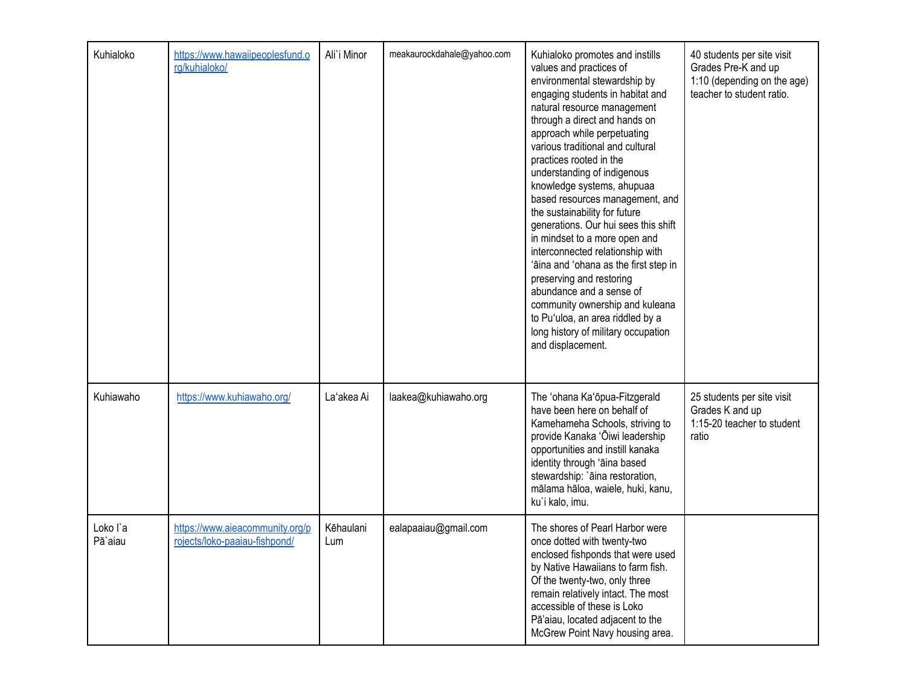| Kuhialoko           | https://www.hawaiipeoplesfund.o<br>rg/kuhialoko/                 | Ali`i Minor      | meakaurockdahale@yahoo.com | Kuhialoko promotes and instills<br>values and practices of<br>environmental stewardship by<br>engaging students in habitat and<br>natural resource management<br>through a direct and hands on<br>approach while perpetuating<br>various traditional and cultural<br>practices rooted in the<br>understanding of indigenous<br>knowledge systems, ahupuaa<br>based resources management, and<br>the sustainability for future<br>generations. Our hui sees this shift<br>in mindset to a more open and<br>interconnected relationship with<br>'āina and 'ohana as the first step in<br>preserving and restoring<br>abundance and a sense of<br>community ownership and kuleana<br>to Pu'uloa, an area riddled by a<br>long history of military occupation<br>and displacement. | 40 students per site visit<br>Grades Pre-K and up<br>1:10 (depending on the age)<br>teacher to student ratio. |
|---------------------|------------------------------------------------------------------|------------------|----------------------------|--------------------------------------------------------------------------------------------------------------------------------------------------------------------------------------------------------------------------------------------------------------------------------------------------------------------------------------------------------------------------------------------------------------------------------------------------------------------------------------------------------------------------------------------------------------------------------------------------------------------------------------------------------------------------------------------------------------------------------------------------------------------------------|---------------------------------------------------------------------------------------------------------------|
| Kuhiawaho           | https://www.kuhiawaho.org/                                       | La'akea Ai       | laakea@kuhiawaho.org       | The 'ohana Ka'ōpua-Fitzgerald<br>have been here on behalf of<br>Kamehameha Schools, striving to<br>provide Kanaka 'Ōiwi leadership<br>opportunities and instill kanaka<br>identity through 'āina based<br>stewardship: `āina restoration,<br>mālama hāloa, waiele, huki, kanu,<br>ku'i kalo, imu.                                                                                                                                                                                                                                                                                                                                                                                                                                                                              | 25 students per site visit<br>Grades K and up<br>1:15-20 teacher to student<br>ratio                          |
| Loko l'a<br>Pā`aiau | https://www.aieacommunity.org/p<br>rojects/loko-paaiau-fishpond/ | Kēhaulani<br>Lum | ealapaaiau@gmail.com       | The shores of Pearl Harbor were<br>once dotted with twenty-two<br>enclosed fishponds that were used<br>by Native Hawaiians to farm fish.<br>Of the twenty-two, only three<br>remain relatively intact. The most<br>accessible of these is Loko<br>Pā'aiau, located adjacent to the<br>McGrew Point Navy housing area.                                                                                                                                                                                                                                                                                                                                                                                                                                                          |                                                                                                               |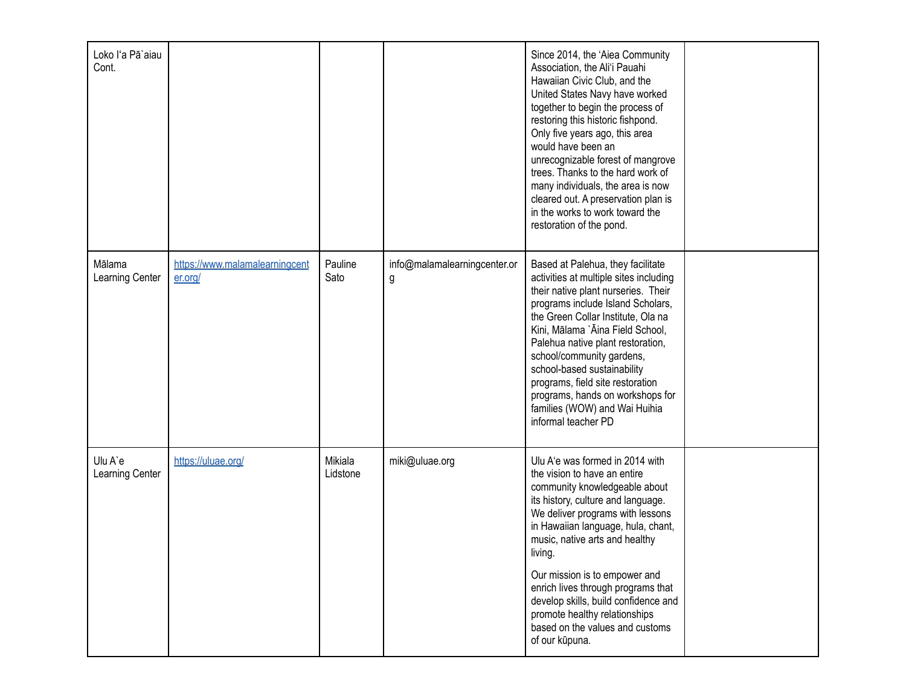| Loko l'a Pā`aiau<br>Cont.  |                                           |                     |                                   | Since 2014, the 'Aiea Community<br>Association, the Ali'i Pauahi<br>Hawaiian Civic Club, and the<br>United States Navy have worked<br>together to begin the process of<br>restoring this historic fishpond.<br>Only five years ago, this area<br>would have been an<br>unrecognizable forest of mangrove<br>trees. Thanks to the hard work of<br>many individuals, the area is now<br>cleared out. A preservation plan is<br>in the works to work toward the<br>restoration of the pond. |  |
|----------------------------|-------------------------------------------|---------------------|-----------------------------------|------------------------------------------------------------------------------------------------------------------------------------------------------------------------------------------------------------------------------------------------------------------------------------------------------------------------------------------------------------------------------------------------------------------------------------------------------------------------------------------|--|
| Mālama<br>Learning Center  | https://www.malamalearningcent<br>er.org/ | Pauline<br>Sato     | info@malamalearningcenter.or<br>g | Based at Palehua, they facilitate<br>activities at multiple sites including<br>their native plant nurseries. Their<br>programs include Island Scholars,<br>the Green Collar Institute, Ola na<br>Kini, Mālama `Āina Field School,<br>Palehua native plant restoration,<br>school/community gardens,<br>school-based sustainability<br>programs, field site restoration<br>programs, hands on workshops for<br>families (WOW) and Wai Huihia<br>informal teacher PD                       |  |
| Ulu A'e<br>Learning Center | https://uluae.org/                        | Mikiala<br>Lidstone | miki@uluae.org                    | Ulu A'e was formed in 2014 with<br>the vision to have an entire<br>community knowledgeable about<br>its history, culture and language.<br>We deliver programs with lessons<br>in Hawaiian language, hula, chant,<br>music, native arts and healthy<br>living.<br>Our mission is to empower and<br>enrich lives through programs that<br>develop skills, build confidence and<br>promote healthy relationships<br>based on the values and customs<br>of our kūpuna.                       |  |